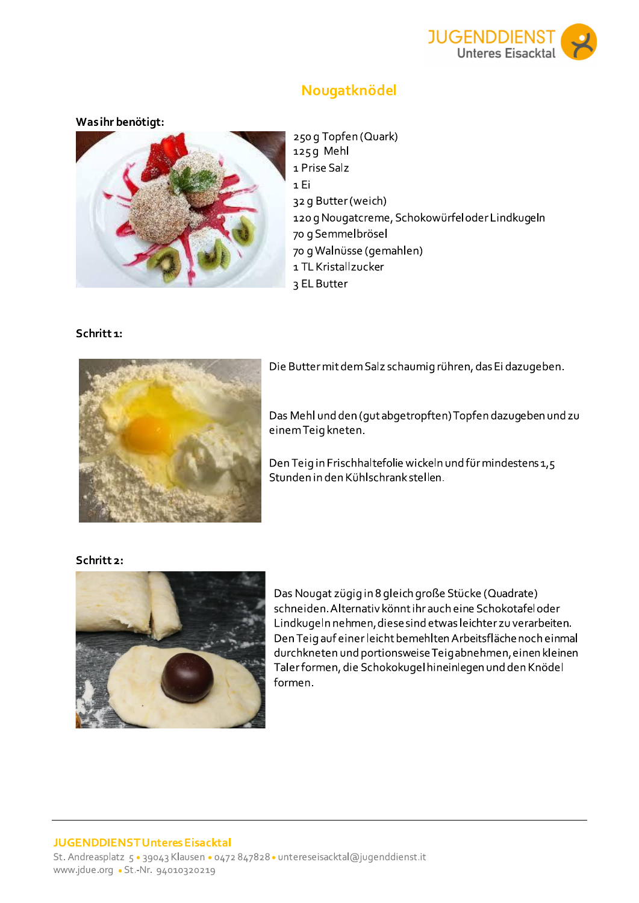

# Nougatknödel

### Was ihr benötigt:



250 g Topfen (Quark) 125g Mehl 1 Prise Salz 1 Ei 32 g Butter (weich) 120 g Nougatcreme, Schokowürfel oder Lindkugeln 70 g Semmelbrösel 70 g Walnüsse (gemahlen) 1 TL Kristallzucker 3 EL Butter

## Schritt 1:



Die Butter mit dem Salz schaumig rühren, das Ei dazugeben.

Das Mehl und den (gut abgetropften) Topfen dazugeben und zu einem Teig kneten.

Den Teig in Frischhaltefolie wickeln und für mindestens 1,5 Stunden in den Kühlschrank stellen.

#### Schritt 2:



Das Nougat zügig in 8 gleich große Stücke (Quadrate) schneiden. Alternativ könnt ihr auch eine Schokotafel oder Lindkugeln nehmen, diese sind etwas leichter zu verarbeiten. Den Teig auf einer leicht bemehlten Arbeitsfläche noch einmal durchkneten und portionsweise Teigabnehmen, einen kleinen Taler formen, die Schokokugel hineinlegen und den Knödel formen.

#### **JUGENDDIENST Unteres Eisacktal** St. Andreasplatz 5 · 39043 Klausen · 0472 847828 · untereseisacktal@jugenddienst.it www.jdue.org • St.-Nr. 94010320219